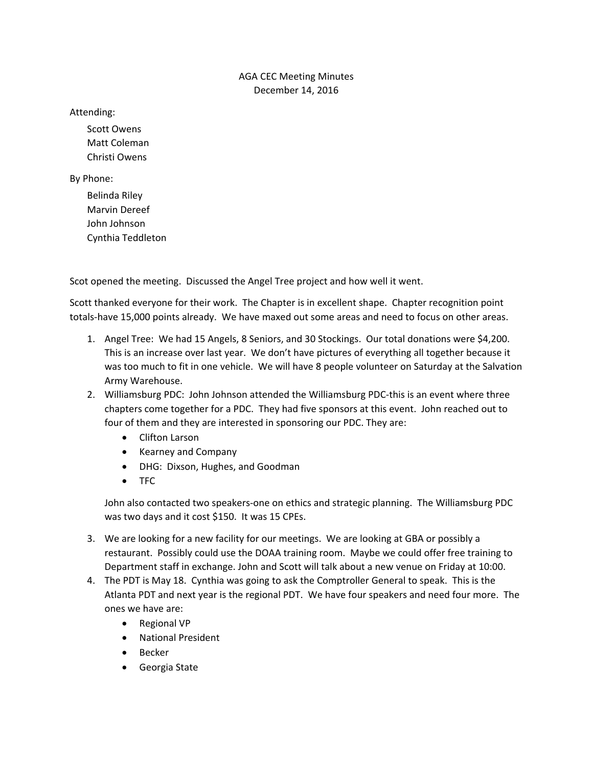## AGA CEC Meeting Minutes December 14, 2016

Attending:

Scott Owens Matt Coleman Christi Owens

By Phone:

Belinda Riley Marvin Dereef John Johnson Cynthia Teddleton

Scot opened the meeting. Discussed the Angel Tree project and how well it went.

Scott thanked everyone for their work. The Chapter is in excellent shape. Chapter recognition point totals‐have 15,000 points already. We have maxed out some areas and need to focus on other areas.

- 1. Angel Tree: We had 15 Angels, 8 Seniors, and 30 Stockings. Our total donations were \$4,200. This is an increase over last year. We don't have pictures of everything all together because it was too much to fit in one vehicle. We will have 8 people volunteer on Saturday at the Salvation Army Warehouse.
- 2. Williamsburg PDC: John Johnson attended the Williamsburg PDC‐this is an event where three chapters come together for a PDC. They had five sponsors at this event. John reached out to four of them and they are interested in sponsoring our PDC. They are:
	- Clifton Larson
	- Kearney and Company
	- DHG: Dixson, Hughes, and Goodman
	- TFC

John also contacted two speakers‐one on ethics and strategic planning. The Williamsburg PDC was two days and it cost \$150. It was 15 CPEs.

- 3. We are looking for a new facility for our meetings. We are looking at GBA or possibly a restaurant. Possibly could use the DOAA training room. Maybe we could offer free training to Department staff in exchange. John and Scott will talk about a new venue on Friday at 10:00.
- 4. The PDT is May 18. Cynthia was going to ask the Comptroller General to speak. This is the Atlanta PDT and next year is the regional PDT. We have four speakers and need four more. The ones we have are:
	- Regional VP
	- National President
	- Becker
	- Georgia State